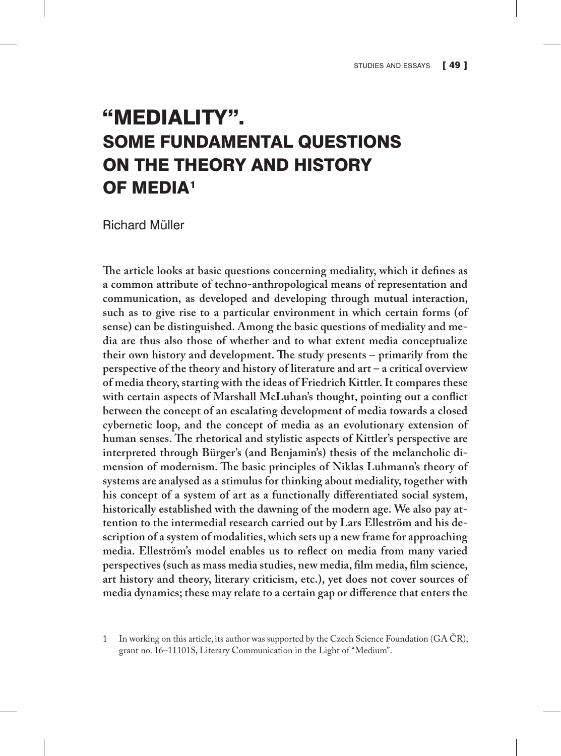## "MEDIALITY". SOME FUNDAMENTAL QUESTIONS ON THE THEORY AND HISTORY OF MEDIA1

Richard Müller

**The article looks at basic questions concerning mediality, which it defines as a common attribute of techno-anthropological means of representation and communication, as developed and developing through mutual interaction, such as to give rise to a particular environment in which certain forms (of sense) can be distinguished. Among the basic questions of mediality and media are thus also those of whether and to what extent media conceptualize their own history and development. The study presents – primarily from the perspective of the theory and history of literature and art – a critical overview of media theory, starting with the ideas of Friedrich Kittler. It compares these with certain aspects of Marshall McLuhan's thought, pointing out a conflict between the concept of an escalating development of media towards a closed cybernetic loop, and the concept of media as an evolutionary extension of human senses. The rhetorical and stylistic aspects of Kittler's perspective are interpreted through Bürger's (and Benjamin's) thesis of the melancholic dimension of modernism. The basic principles of Niklas Luhmann's theory of systems are analysed as a stimulus for thinking about mediality, together with his concept of a system of art as a functionally differentiated social system, historically established with the dawning of the modern age. We also pay attention to the intermedial research carried out by Lars Elleström and his description of a system of modalities, which sets up a new frame for approaching media. Elleström's model enables us to reflect on media from many varied perspectives (such as mass media studies, new media, film media, film science, art history and theory, literary criticism, etc.), yet does not cover sources of media dynamics; these may relate to a certain gap or difference that enters the** 

1 In working on this article, its author was supported by the Czech Science Foundation (GA ČR), grant no. 16–11101S, Literary Communication in the Light of "Medium".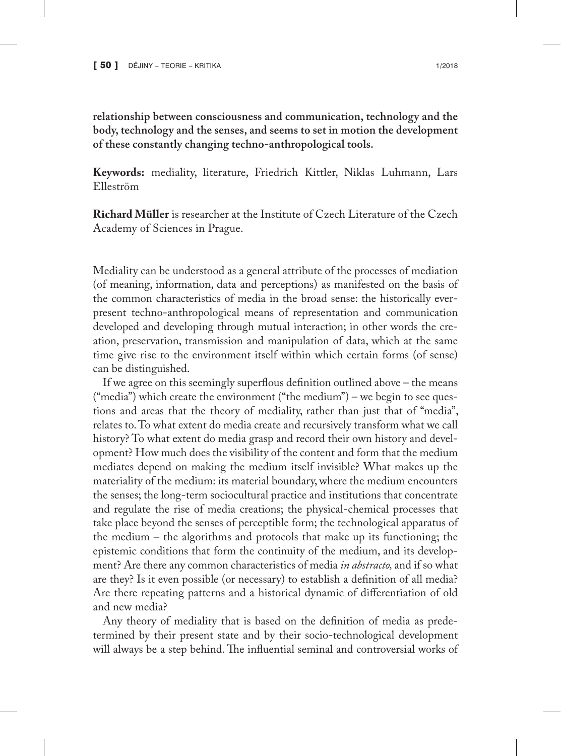**relationship between consciousness and communication, technology and the body, technology and the senses, and seems to set in motion the development of these constantly changing techno-anthropological tools.**

**Keywords:** mediality, literature, Friedrich Kittler, Niklas Luhmann, Lars Elleström

**Richard Müller** is researcher at the Institute of Czech Literature of the Czech Academy of Sciences in Prague.

Mediality can be understood as a general attribute of the processes of mediation (of meaning, information, data and perceptions) as manifested on the basis of the common characteristics of media in the broad sense: the historically everpresent techno-anthropological means of representation and communication developed and developing through mutual interaction; in other words the creation, preservation, transmission and manipulation of data, which at the same time give rise to the environment itself within which certain forms (of sense) can be distinguished.

If we agree on this seemingly superflous definition outlined above – the means ("media") which create the environment ("the medium") – we begin to see questions and areas that the theory of mediality, rather than just that of "media", relates to. To what extent do media create and recursively transform what we call history? To what extent do media grasp and record their own history and development? How much does the visibility of the content and form that the medium mediates depend on making the medium itself invisible? What makes up the materiality of the medium: its material boundary, where the medium encounters the senses; the long-term sociocultural practice and institutions that concentrate and regulate the rise of media creations; the physical-chemical processes that take place beyond the senses of perceptible form; the technological apparatus of the medium – the algorithms and protocols that make up its functioning; the epistemic conditions that form the continuity of the medium, and its development? Are there any common characteristics of media *in abstracto,* and if so what are they? Is it even possible (or necessary) to establish a definition of all media? Are there repeating patterns and a historical dynamic of differentiation of old and new media?

Any theory of mediality that is based on the definition of media as predetermined by their present state and by their socio-technological development will always be a step behind. The influential seminal and controversial works of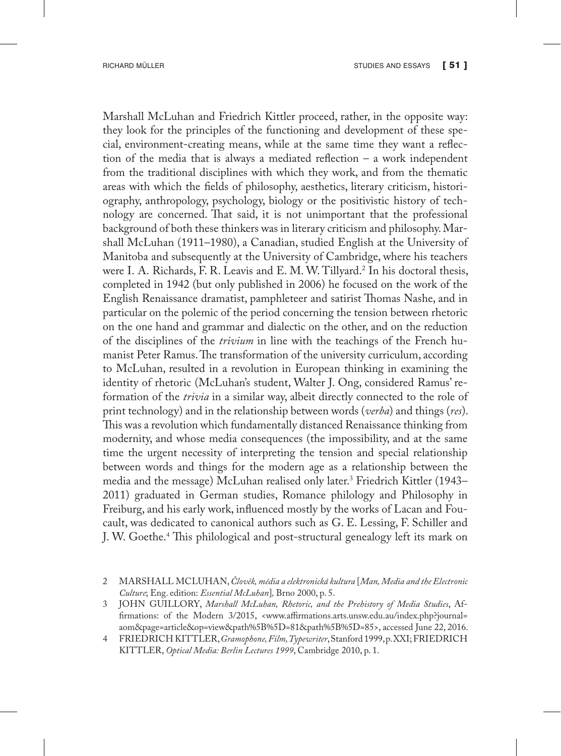Marshall McLuhan and Friedrich Kittler proceed, rather, in the opposite way: they look for the principles of the functioning and development of these special, environment-creating means, while at the same time they want a reflection of the media that is always a mediated reflection – a work independent from the traditional disciplines with which they work, and from the thematic areas with which the fields of philosophy, aesthetics, literary criticism, historiography, anthropology, psychology, biology or the positivistic history of technology are concerned. That said, it is not unimportant that the professional background of both these thinkers was in literary criticism and philosophy. Marshall McLuhan (1911–1980), a Canadian, studied English at the University of Manitoba and subsequently at the University of Cambridge, where his teachers were I. A. Richards, F. R. Leavis and E. M. W. Tillyard.<sup>2</sup> In his doctoral thesis, completed in 1942 (but only published in 2006) he focused on the work of the English Renaissance dramatist, pamphleteer and satirist Thomas Nashe, and in particular on the polemic of the period concerning the tension between rhetoric on the one hand and grammar and dialectic on the other, and on the reduction of the disciplines of the *trivium* in line with the teachings of the French humanist Peter Ramus. The transformation of the university curriculum, according to McLuhan, resulted in a revolution in European thinking in examining the identity of rhetoric (McLuhan's student, Walter J. Ong, considered Ramus' reformation of the *trivia* in a similar way, albeit directly connected to the role of print technology) and in the relationship between words (*verba*) and things (*res*). This was a revolution which fundamentally distanced Renaissance thinking from modernity, and whose media consequences (the impossibility, and at the same time the urgent necessity of interpreting the tension and special relationship between words and things for the modern age as a relationship between the media and the message) McLuhan realised only later.3 Friedrich Kittler (1943– 2011) graduated in German studies, Romance philology and Philosophy in Freiburg, and his early work, influenced mostly by the works of Lacan and Foucault, was dedicated to canonical authors such as G. E. Lessing, F. Schiller and J. W. Goethe.4 This philological and post-structural genealogy left its mark on

<sup>2</sup> MARSHALL MCLUHAN, *Člověk, média a elektronická kultura* [*Man, Media and the Electronic Culture*; Eng. edition: *Essential McLuhan*]*,* Brno 2000, p. 5.

<sup>3</sup> JOHN GUILLORY, *Marshall McLuhan, Rhetoric, and the Prehistory of Media Studies*, Affirmations: of the Modern 3/2015, <www.affirmations.arts.unsw.edu.au/index.php?journal= aom&page=article&op=view&path%5B%5D=81&path%5B%5D=85>, accessed June 22, 2016.

<sup>4</sup> FRIEDRICH KITTLER, *Gramophone, Film, Typewriter*, Stanford 1999, p. XXI; FRIEDRICH KITTLER, *Optical Media: Berlin Lectures 1999*, Cambridge 2010, p. 1.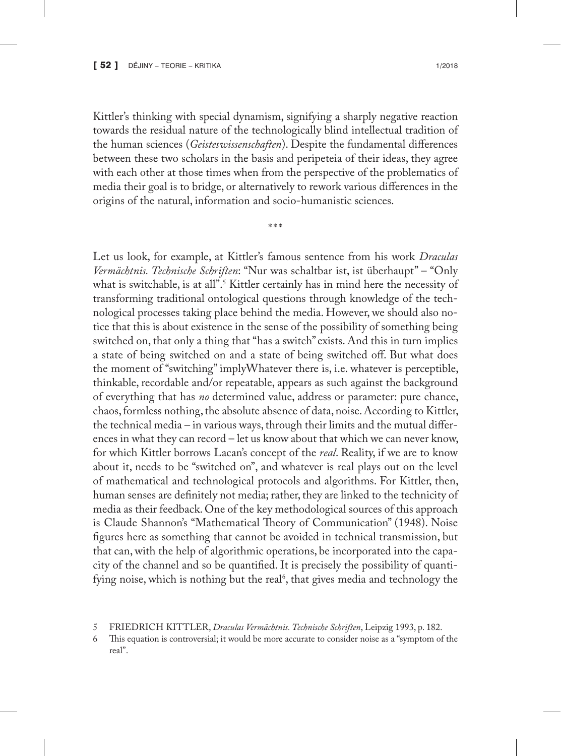Kittler's thinking with special dynamism, signifying a sharply negative reaction towards the residual nature of the technologically blind intellectual tradition of the human sciences (*Geisteswissenschaften*). Despite the fundamental differences between these two scholars in the basis and peripeteia of their ideas, they agree with each other at those times when from the perspective of the problematics of media their goal is to bridge, or alternatively to rework various differences in the origins of the natural, information and socio-humanistic sciences.

\*\*\*

Let us look, for example, at Kittler's famous sentence from his work *Draculas Vermächtnis. Technische Schriften*: "Nur was schaltbar ist, ist überhaupt" – "Only what is switchable, is at all".<sup>5</sup> Kittler certainly has in mind here the necessity of transforming traditional ontological questions through knowledge of the technological processes taking place behind the media. However, we should also notice that this is about existence in the sense of the possibility of something being switched on, that only a thing that "has a switch" exists. And this in turn implies a state of being switched on and a state of being switched off. But what does the moment of "switching" implyWhatever there is, i.e. whatever is perceptible, thinkable, recordable and/or repeatable, appears as such against the background of everything that has *no* determined value, address or parameter: pure chance, chaos, formless nothing, the absolute absence of data, noise. According to Kittler, the technical media – in various ways, through their limits and the mutual differences in what they can record – let us know about that which we can never know, for which Kittler borrows Lacan's concept of the *real*. Reality, if we are to know about it, needs to be "switched on", and whatever is real plays out on the level of mathematical and technological protocols and algorithms. For Kittler, then, human senses are definitely not media; rather, they are linked to the technicity of media as their feedback. One of the key methodological sources of this approach is Claude Shannon's "Mathematical Theory of Communication" (1948). Noise figures here as something that cannot be avoided in technical transmission, but that can, with the help of algorithmic operations, be incorporated into the capacity of the channel and so be quantified. It is precisely the possibility of quantifying noise, which is nothing but the real<sup>6</sup>, that gives media and technology the

<sup>5</sup> FRIEDRICH KITTLER, *Draculas Vermächtnis. Technische Schriften*, Leipzig 1993, p. 182.

This equation is controversial; it would be more accurate to consider noise as a "symptom of the real".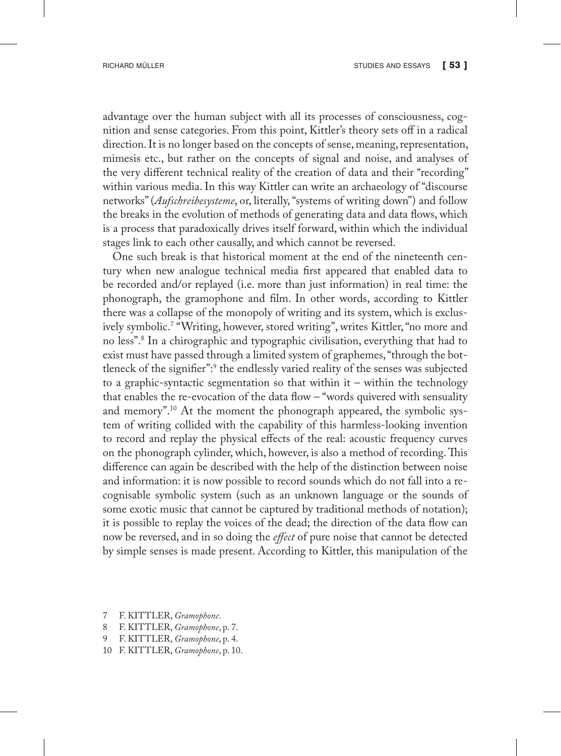advantage over the human subject with all its processes of consciousness, cognition and sense categories. From this point, Kittler's theory sets off in a radical direction. It is no longer based on the concepts of sense, meaning, representation, mimesis etc., but rather on the concepts of signal and noise, and analyses of the very different technical reality of the creation of data and their "recording" within various media. In this way Kittler can write an archaeology of "discourse networks" (*Aufschreibesysteme*, or, literally, "systems of writing down") and follow the breaks in the evolution of methods of generating data and data flows, which is a process that paradoxically drives itself forward, within which the individual stages link to each other causally, and which cannot be reversed.

One such break is that historical moment at the end of the nineteenth century when new analogue technical media first appeared that enabled data to be recorded and/or replayed (i.e. more than just information) in real time: the phonograph, the gramophone and film. In other words, according to Kittler there was a collapse of the monopoly of writing and its system, which is exclusively symbolic.7 "Writing, however, stored writing", writes Kittler, "no more and no less".8 In a chirographic and typographic civilisation, everything that had to exist must have passed through a limited system of graphemes, "through the bottleneck of the signifier":9 the endlessly varied reality of the senses was subjected to a graphic-syntactic segmentation so that within it – within the technology that enables the re-evocation of the data flow – "words quivered with sensuality and memory".10 At the moment the phonograph appeared, the symbolic system of writing collided with the capability of this harmless-looking invention to record and replay the physical effects of the real: acoustic frequency curves on the phonograph cylinder, which, however, is also a method of recording. This difference can again be described with the help of the distinction between noise and information: it is now possible to record sounds which do not fall into a recognisable symbolic system (such as an unknown language or the sounds of some exotic music that cannot be captured by traditional methods of notation); it is possible to replay the voices of the dead; the direction of the data flow can now be reversed, and in so doing the *effect* of pure noise that cannot be detected by simple senses is made present. According to Kittler, this manipulation of the

- 7 F. KITTLER, *Gramophone*.
- 8 F. KITTLER, *Gramophone*, p. 7.
- 9 F. KITTLER, *Gramophone*, p. 4.
- 10 F. KITTLER, *Gramophone*, p. 10.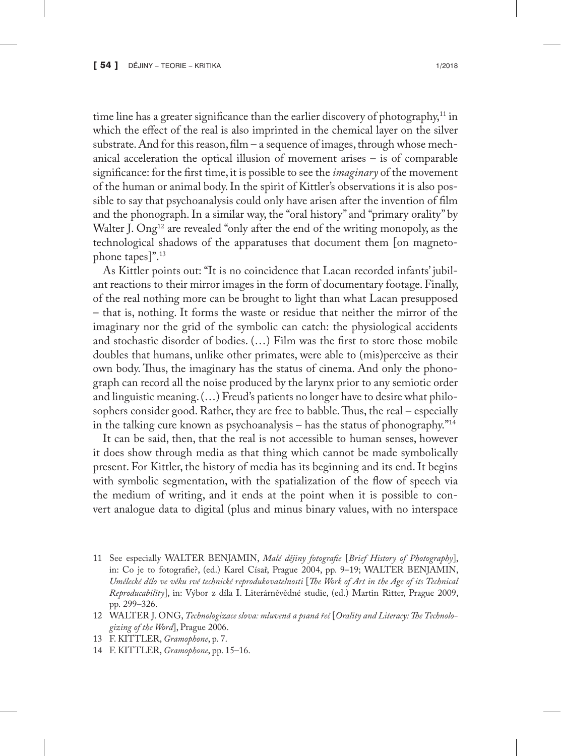time line has a greater significance than the earlier discovery of photography, $11$  in which the effect of the real is also imprinted in the chemical layer on the silver substrate. And for this reason, film – a sequence of images, through whose mechanical acceleration the optical illusion of movement arises – is of comparable significance: for the first time, it is possible to see the *imaginary* of the movement of the human or animal body. In the spirit of Kittler's observations it is also possible to say that psychoanalysis could only have arisen after the invention of film and the phonograph. In a similar way, the "oral history" and "primary orality" by Walter J. Ong<sup>12</sup> are revealed "only after the end of the writing monopoly, as the technological shadows of the apparatuses that document them [on magnetophone tapes]".13

As Kittler points out: "It is no coincidence that Lacan recorded infants' jubilant reactions to their mirror images in the form of documentary footage. Finally, of the real nothing more can be brought to light than what Lacan presupposed – that is, nothing. It forms the waste or residue that neither the mirror of the imaginary nor the grid of the symbolic can catch: the physiological accidents and stochastic disorder of bodies. (…) Film was the first to store those mobile doubles that humans, unlike other primates, were able to (mis)perceive as their own body. Thus, the imaginary has the status of cinema. And only the phonograph can record all the noise produced by the larynx prior to any semiotic order and linguistic meaning. (…) Freud's patients no longer have to desire what philosophers consider good. Rather, they are free to babble. Thus, the real – especially in the talking cure known as psychoanalysis – has the status of phonography."14

It can be said, then, that the real is not accessible to human senses, however it does show through media as that thing which cannot be made symbolically present. For Kittler, the history of media has its beginning and its end. It begins with symbolic segmentation, with the spatialization of the flow of speech via the medium of writing, and it ends at the point when it is possible to convert analogue data to digital (plus and minus binary values, with no interspace

- 11 See especially WALTER BENJAMIN, *Malé dějiny fotografie* [*Brief History of Photography*], in: Co je to fotografie?, (ed.) Karel Císař, Prague 2004, pp. 9–19; WALTER BENJAMIN, *Umělecké dílo ve věku své technické reprodukovatelnosti* [*The Work of Art in the Age of its Technical Reproducability*], in: Výbor z díla I. Literárněvědné studie, (ed.) Martin Ritter, Prague 2009, pp. 299–326.
- 12 WALTER J. ONG, *Technologizace slova: mluvená a psaná řeč* [*Orality and Literacy: The Technologizing of the Word*], Prague 2006.
- 13 F. KITTLER, *Gramophone*, p. 7.
- 14 F. KITTLER, *Gramophone*, pp. 15–16.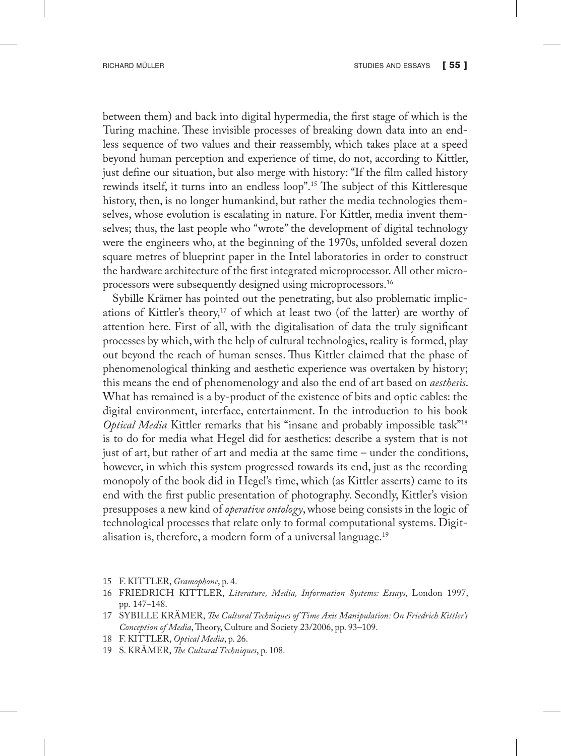between them) and back into digital hypermedia, the first stage of which is the Turing machine. These invisible processes of breaking down data into an endless sequence of two values and their reassembly, which takes place at a speed beyond human perception and experience of time, do not, according to Kittler, just define our situation, but also merge with history: "If the film called history rewinds itself, it turns into an endless loop".15 The subject of this Kittleresque history, then, is no longer humankind, but rather the media technologies themselves, whose evolution is escalating in nature. For Kittler, media invent themselves; thus, the last people who "wrote" the development of digital technology were the engineers who, at the beginning of the 1970s, unfolded several dozen square metres of blueprint paper in the Intel laboratories in order to construct the hardware architecture of the first integrated microprocessor. All other microprocessors were subsequently designed using microprocessors.16

Sybille Krämer has pointed out the penetrating, but also problematic implications of Kittler's theory,<sup>17</sup> of which at least two (of the latter) are worthy of attention here. First of all, with the digitalisation of data the truly significant processes by which, with the help of cultural technologies, reality is formed, play out beyond the reach of human senses. Thus Kittler claimed that the phase of phenomenological thinking and aesthetic experience was overtaken by history; this means the end of phenomenology and also the end of art based on *aesthesis*. What has remained is a by-product of the existence of bits and optic cables: the digital environment, interface, entertainment. In the introduction to his book *Optical Media* Kittler remarks that his "insane and probably impossible task"<sup>18</sup> is to do for media what Hegel did for aesthetics: describe a system that is not just of art, but rather of art and media at the same time – under the conditions, however, in which this system progressed towards its end, just as the recording monopoly of the book did in Hegel's time, which (as Kittler asserts) came to its end with the first public presentation of photography. Secondly, Kittler's vision presupposes a new kind of *operative ontology*, whose being consists in the logic of technological processes that relate only to formal computational systems. Digitalisation is, therefore, a modern form of a universal language.19

- 15 F. KITTLER, *Gramophone*, p. 4.
- 16 FRIEDRICH KITTLER, *Literature, Media, Information Systems: Essays*, London 1997, pp. 147–148.
- 17 SYBILLE KRÄMER, *The Cultural Techniques of Time Axis Manipulation: On Friedrich Kittler's Conception of Media*, Theory, Culture and Society 23/2006, pp. 93–109.
- 18 F. KITTLER, *Optical Media*, p. 26.
- 19 S. KRÄMER, *The Cultural Techniques*, p. 108.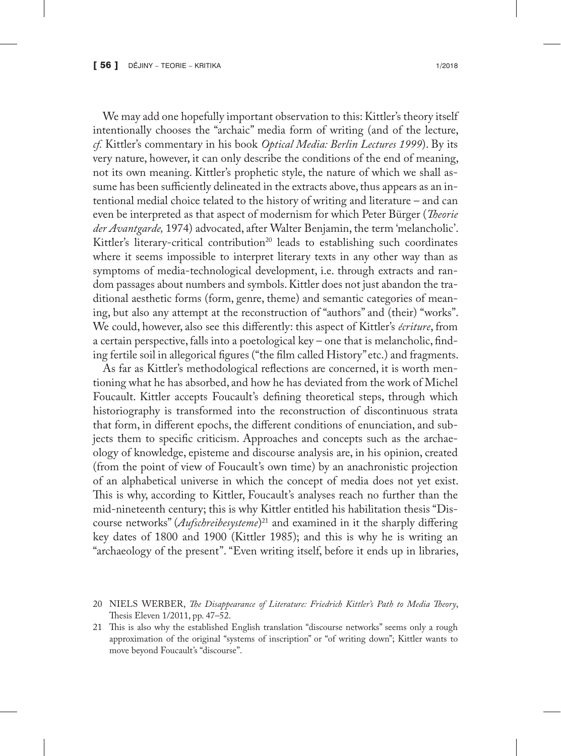We may add one hopefully important observation to this: Kittler's theory itself intentionally chooses the "archaic" media form of writing (and of the lecture, *cf.* Kittler's commentary in his book *Optical Media: Berlin Lectures 1999*). By its very nature, however, it can only describe the conditions of the end of meaning, not its own meaning. Kittler's prophetic style, the nature of which we shall assume has been sufficiently delineated in the extracts above, thus appears as an intentional medial choice telated to the history of writing and literature – and can even be interpreted as that aspect of modernism for which Peter Bürger (*Theorie der Avantgarde,* 1974) advocated, after Walter Benjamin, the term 'melancholic'. Kittler's literary-critical contribution<sup>20</sup> leads to establishing such coordinates where it seems impossible to interpret literary texts in any other way than as symptoms of media-technological development, i.e. through extracts and random passages about numbers and symbols. Kittler does not just abandon the traditional aesthetic forms (form, genre, theme) and semantic categories of meaning, but also any attempt at the reconstruction of "authors" and (their) "works". We could, however, also see this differently: this aspect of Kittler's *écriture*, from a certain perspective, falls into a poetological key – one that is melancholic, finding fertile soil in allegorical figures ("the film called History" etc.) and fragments.

As far as Kittler's methodological reflections are concerned, it is worth mentioning what he has absorbed, and how he has deviated from the work of Michel Foucault. Kittler accepts Foucault's defining theoretical steps, through which historiography is transformed into the reconstruction of discontinuous strata that form, in different epochs, the different conditions of enunciation, and subjects them to specific criticism. Approaches and concepts such as the archaeology of knowledge, episteme and discourse analysis are, in his opinion, created (from the point of view of Foucault's own time) by an anachronistic projection of an alphabetical universe in which the concept of media does not yet exist. This is why, according to Kittler, Foucault's analyses reach no further than the mid-nineteenth century; this is why Kittler entitled his habilitation thesis "Discourse networks" (*Aufschreibesysteme*) 21 and examined in it the sharply differing key dates of 1800 and 1900 (Kittler 1985); and this is why he is writing an "archaeology of the present". "Even writing itself, before it ends up in libraries,

<sup>20</sup> NIELS WERBER, *The Disappearance of Literature: Friedrich Kittler's Path to Media Theory*, Thesis Eleven 1/2011, pp. 47–52.

<sup>21</sup> This is also why the established English translation "discourse networks" seems only a rough approximation of the original "systems of inscription" or "of writing down"; Kittler wants to move beyond Foucault's "discourse".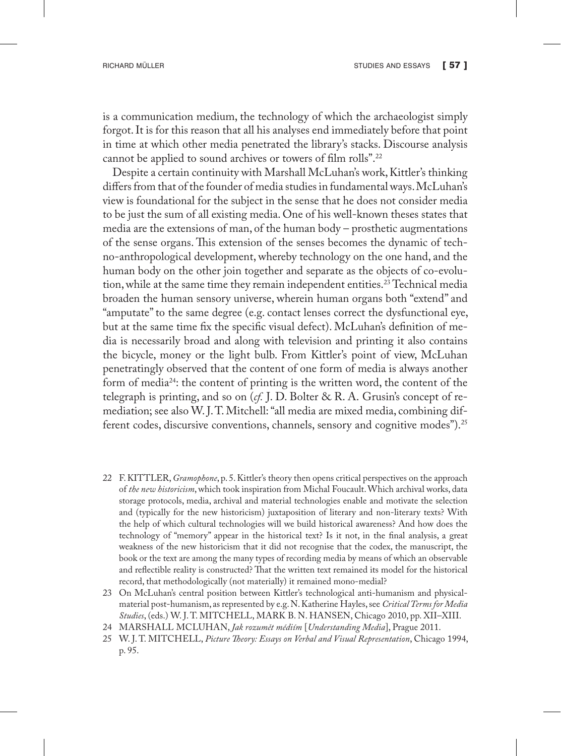is a communication medium, the technology of which the archaeologist simply forgot. It is for this reason that all his analyses end immediately before that point in time at which other media penetrated the library's stacks. Discourse analysis cannot be applied to sound archives or towers of film rolls".22

Despite a certain continuity with Marshall McLuhan's work, Kittler's thinking differs from that of the founder of media studies in fundamental ways. McLuhan's view is foundational for the subject in the sense that he does not consider media to be just the sum of all existing media. One of his well-known theses states that media are the extensions of man, of the human body – prosthetic augmentations of the sense organs. This extension of the senses becomes the dynamic of techno-anthropological development, whereby technology on the one hand, and the human body on the other join together and separate as the objects of co-evolution, while at the same time they remain independent entities.<sup>23</sup> Technical media broaden the human sensory universe, wherein human organs both "extend" and "amputate" to the same degree (e.g. contact lenses correct the dysfunctional eye, but at the same time fix the specific visual defect). McLuhan's definition of media is necessarily broad and along with television and printing it also contains the bicycle, money or the light bulb. From Kittler's point of view, McLuhan penetratingly observed that the content of one form of media is always another form of media24: the content of printing is the written word, the content of the telegraph is printing, and so on (*cf.* J. D. Bolter & R. A. Grusin's concept of remediation; see also W. J. T. Mitchell: "all media are mixed media, combining different codes, discursive conventions, channels, sensory and cognitive modes").25

- 22 F. KITTLER, *Gramophone*, p. 5. Kittler's theory then opens critical perspectives on the approach of *the new historicism*, which took inspiration from Michal Foucault. Which archival works, data storage protocols, media, archival and material technologies enable and motivate the selection and (typically for the new historicism) juxtaposition of literary and non-literary texts? With the help of which cultural technologies will we build historical awareness? And how does the technology of "memory" appear in the historical text? Is it not, in the final analysis, a great weakness of the new historicism that it did not recognise that the codex, the manuscript, the book or the text are among the many types of recording media by means of which an observable and reflectible reality is constructed? That the written text remained its model for the historical record, that methodologically (not materially) it remained mono-medial?
- 23 On McLuhan's central position between Kittler's technological anti-humanism and physicalmaterial post-humanism, as represented by e.g. N. Katherine Hayles, see *Critical Terms for Media Studies*, (eds.) W. J. T. MITCHELL, MARK B. N. HANSEN, Chicago 2010, pp. XII–XIII.
- 24 MARSHALL MCLUHAN, *Jak rozumět médiím* [*Understanding Media*], Prague 2011.
- 25 W. J. T. MITCHELL, *Picture Theory: Essays on Verbal and Visual Representation*, Chicago 1994, p. 95.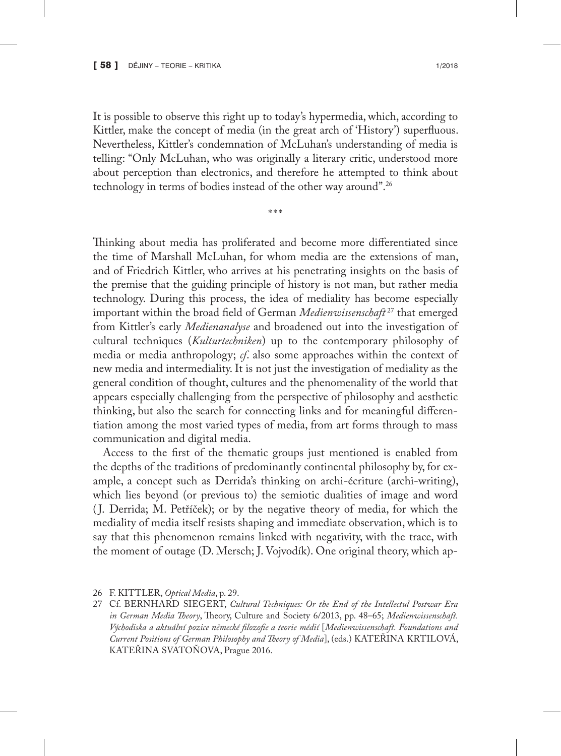It is possible to observe this right up to today's hypermedia, which, according to Kittler, make the concept of media (in the great arch of 'History') superfluous. Nevertheless, Kittler's condemnation of McLuhan's understanding of media is telling: "Only McLuhan, who was originally a literary critic, understood more about perception than electronics, and therefore he attempted to think about technology in terms of bodies instead of the other way around".26

\*\*\*

Thinking about media has proliferated and become more differentiated since the time of Marshall McLuhan, for whom media are the extensions of man, and of Friedrich Kittler, who arrives at his penetrating insights on the basis of the premise that the guiding principle of history is not man, but rather media technology. During this process, the idea of mediality has become especially important within the broad field of German *Medienwissenschaft* <sup>27</sup> that emerged from Kittler's early *Medienanalyse* and broadened out into the investigation of cultural techniques (*Kulturtechniken*) up to the contemporary philosophy of media or media anthropology; *cf*. also some approaches within the context of new media and intermediality. It is not just the investigation of mediality as the general condition of thought, cultures and the phenomenality of the world that appears especially challenging from the perspective of philosophy and aesthetic thinking, but also the search for connecting links and for meaningful differentiation among the most varied types of media, from art forms through to mass communication and digital media.

Access to the first of the thematic groups just mentioned is enabled from the depths of the traditions of predominantly continental philosophy by, for example, a concept such as Derrida's thinking on archi-écriture (archi-writing), which lies beyond (or previous to) the semiotic dualities of image and word ( J. Derrida; M. Petříček); or by the negative theory of media, for which the mediality of media itself resists shaping and immediate observation, which is to say that this phenomenon remains linked with negativity, with the trace, with the moment of outage (D. Mersch; J. Vojvodík). One original theory, which ap-

27 Cf. BERNHARD SIEGERT, *Cultural Techniques: Or the End of the Intellectul Postwar Era in German Media Theory*, Theory, Culture and Society 6/2013, pp. 48–65; *Medienwissenschaft. Východiska a aktuální pozice německé filozofie a teorie médií* [*Medienwissenschaft. Foundations and Current Positions of German Philosophy and Theory of Media*], (eds.) KATEŘINA KRTILOVÁ, KATEŘINA SVATOŇOVA, Prague 2016.

<sup>26</sup> F. KITTLER, *Optical Media*, p. 29.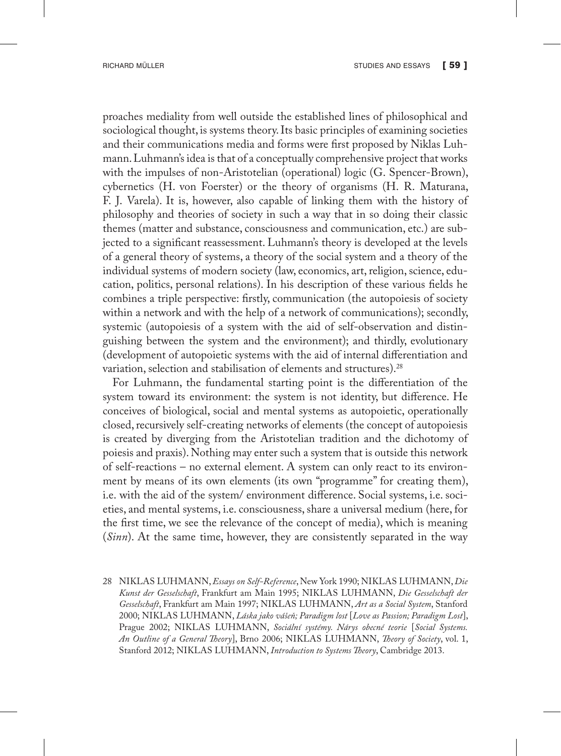proaches mediality from well outside the established lines of philosophical and sociological thought, is systems theory. Its basic principles of examining societies and their communications media and forms were first proposed by Niklas Luhmann. Luhmann's idea is that of a conceptually comprehensive project that works with the impulses of non-Aristotelian (operational) logic (G. Spencer-Brown), cybernetics (H. von Foerster) or the theory of organisms (H. R. Maturana, F. J. Varela). It is, however, also capable of linking them with the history of philosophy and theories of society in such a way that in so doing their classic themes (matter and substance, consciousness and communication, etc.) are subjected to a significant reassessment. Luhmann's theory is developed at the levels of a general theory of systems, a theory of the social system and a theory of the individual systems of modern society (law, economics, art, religion, science, education, politics, personal relations). In his description of these various fields he combines a triple perspective: firstly, communication (the autopoiesis of society within a network and with the help of a network of communications); secondly, systemic (autopoiesis of a system with the aid of self-observation and distinguishing between the system and the environment); and thirdly, evolutionary (development of autopoietic systems with the aid of internal differentiation and variation, selection and stabilisation of elements and structures).28

For Luhmann, the fundamental starting point is the differentiation of the system toward its environment: the system is not identity, but difference. He conceives of biological, social and mental systems as autopoietic, operationally closed, recursively self-creating networks of elements (the concept of autopoiesis is created by diverging from the Aristotelian tradition and the dichotomy of poiesis and praxis). Nothing may enter such a system that is outside this network of self-reactions – no external element. A system can only react to its environment by means of its own elements (its own "programme" for creating them), i.e. with the aid of the system/ environment difference. Social systems, i.e. societies, and mental systems, i.e. consciousness, share a universal medium (here, for the first time, we see the relevance of the concept of media), which is meaning (*Sinn*). At the same time, however, they are consistently separated in the way

28 NIKLAS LUHMANN, *Essays on Self-Reference*, New York 1990; NIKLAS LUHMANN, *Die Kunst der Gesselschaft*, Frankfurt am Main 1995; NIKLAS LUHMANN, *Die Gesselschaft der Gesselschaft*, Frankfurt am Main 1997; NIKLAS LUHMANN, *Art as a Social System*, Stanford 2000; NIKLAS LUHMANN, *Láska jako vášeň; Paradigm lost* [*Love as Passion; Paradigm Lost*], Prague 2002; NIKLAS LUHMANN, *Sociální systémy. Nárys obecné teorie* [*Social Systems. An Outline of a General Theory*], Brno 2006; NIKLAS LUHMANN, *Theory of Society*, vol. 1, Stanford 2012; NIKLAS LUHMANN, *Introduction to Systems Theory*, Cambridge 2013.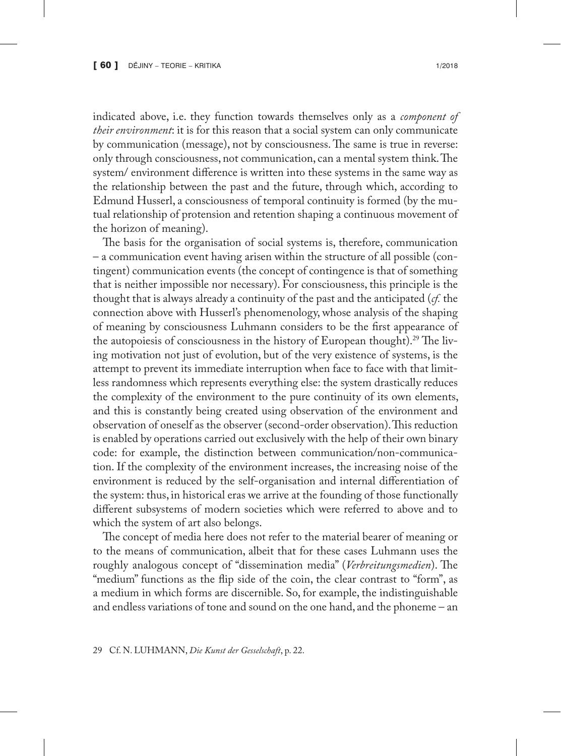indicated above, i.e. they function towards themselves only as a *component of their environment*: it is for this reason that a social system can only communicate by communication (message), not by consciousness. The same is true in reverse: only through consciousness, not communication, can a mental system think. The system/ environment difference is written into these systems in the same way as the relationship between the past and the future, through which, according to Edmund Husserl, a consciousness of temporal continuity is formed (by the mutual relationship of protension and retention shaping a continuous movement of the horizon of meaning).

The basis for the organisation of social systems is, therefore, communication – a communication event having arisen within the structure of all possible (contingent) communication events (the concept of contingence is that of something that is neither impossible nor necessary). For consciousness, this principle is the thought that is always already a continuity of the past and the anticipated (*cf.* the connection above with Husserl's phenomenology, whose analysis of the shaping of meaning by consciousness Luhmann considers to be the first appearance of the autopoiesis of consciousness in the history of European thought).<sup>29</sup> The living motivation not just of evolution, but of the very existence of systems, is the attempt to prevent its immediate interruption when face to face with that limitless randomness which represents everything else: the system drastically reduces the complexity of the environment to the pure continuity of its own elements, and this is constantly being created using observation of the environment and observation of oneself as the observer (second-order observation). This reduction is enabled by operations carried out exclusively with the help of their own binary code: for example, the distinction between communication/non-communication. If the complexity of the environment increases, the increasing noise of the environment is reduced by the self-organisation and internal differentiation of the system: thus, in historical eras we arrive at the founding of those functionally different subsystems of modern societies which were referred to above and to which the system of art also belongs.

The concept of media here does not refer to the material bearer of meaning or to the means of communication, albeit that for these cases Luhmann uses the roughly analogous concept of "dissemination media" (*Verbreitungsmedien*). The "medium" functions as the flip side of the coin, the clear contrast to "form", as a medium in which forms are discernible. So, for example, the indistinguishable and endless variations of tone and sound on the one hand, and the phoneme – an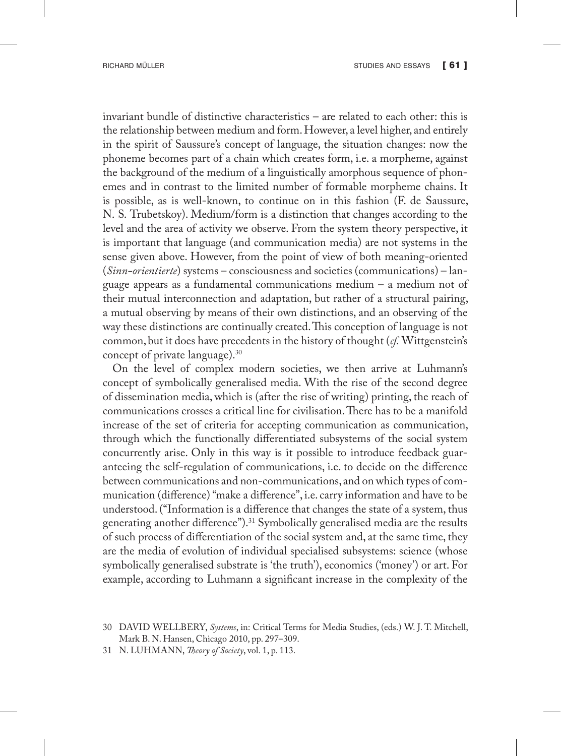invariant bundle of distinctive characteristics – are related to each other: this is the relationship between medium and form. However, a level higher, and entirely in the spirit of Saussure's concept of language, the situation changes: now the phoneme becomes part of a chain which creates form, i.e. a morpheme, against the background of the medium of a linguistically amorphous sequence of phonemes and in contrast to the limited number of formable morpheme chains. It is possible, as is well-known, to continue on in this fashion (F. de Saussure, N. S. Trubetskoy). Medium/form is a distinction that changes according to the level and the area of activity we observe. From the system theory perspective, it is important that language (and communication media) are not systems in the sense given above. However, from the point of view of both meaning-oriented (*Sinn-orientierte*) systems – consciousness and societies (communications) – language appears as a fundamental communications medium – a medium not of their mutual interconnection and adaptation, but rather of a structural pairing, a mutual observing by means of their own distinctions, and an observing of the way these distinctions are continually created. This conception of language is not common, but it does have precedents in the history of thought (*cf.* Wittgenstein's concept of private language).30

On the level of complex modern societies, we then arrive at Luhmann's concept of symbolically generalised media. With the rise of the second degree of dissemination media, which is (after the rise of writing) printing, the reach of communications crosses a critical line for civilisation. There has to be a manifold increase of the set of criteria for accepting communication as communication, through which the functionally differentiated subsystems of the social system concurrently arise. Only in this way is it possible to introduce feedback guaranteeing the self-regulation of communications, i.e. to decide on the difference between communications and non-communications, and on which types of communication (difference) "make a difference", i.e. carry information and have to be understood. ("Information is a difference that changes the state of a system, thus generating another difference").<sup>31</sup> Symbolically generalised media are the results of such process of differentiation of the social system and, at the same time, they are the media of evolution of individual specialised subsystems: science (whose symbolically generalised substrate is 'the truth'), economics ('money') or art. For example, according to Luhmann a significant increase in the complexity of the

<sup>30</sup> DAVID WELLBERY, *Systems*, in: Critical Terms for Media Studies, (eds.) W. J. T. Mitchell, Mark B. N. Hansen, Chicago 2010, pp. 297–309.

<sup>31</sup> N. LUHMANN, *Theory of Society*, vol. 1, p. 113.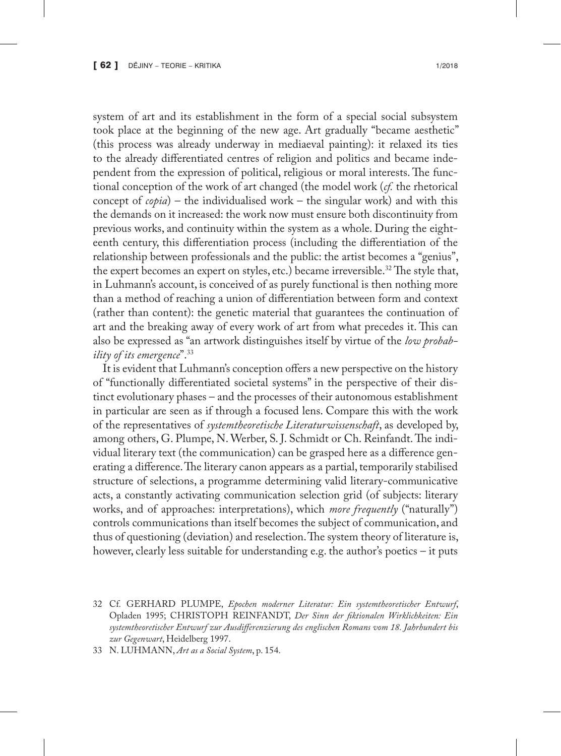system of art and its establishment in the form of a special social subsystem took place at the beginning of the new age. Art gradually "became aesthetic" (this process was already underway in mediaeval painting): it relaxed its ties to the already differentiated centres of religion and politics and became independent from the expression of political, religious or moral interests. The functional conception of the work of art changed (the model work (*cf.* the rhetorical concept of *copia*) – the individualised work – the singular work) and with this the demands on it increased: the work now must ensure both discontinuity from previous works, and continuity within the system as a whole. During the eighteenth century, this differentiation process (including the differentiation of the relationship between professionals and the public: the artist becomes a "genius", the expert becomes an expert on styles, etc.) became irreversible.32 The style that, in Luhmann's account, is conceived of as purely functional is then nothing more than a method of reaching a union of differentiation between form and context (rather than content): the genetic material that guarantees the continuation of art and the breaking away of every work of art from what precedes it. This can also be expressed as "an artwork distinguishes itself by virtue of the *low probability of its emergence*".33

It is evident that Luhmann's conception offers a new perspective on the history of "functionally differentiated societal systems" in the perspective of their distinct evolutionary phases – and the processes of their autonomous establishment in particular are seen as if through a focused lens. Compare this with the work of the representatives of *systemtheoretische Literaturwissenschaft*, as developed by, among others, G. Plumpe, N. Werber, S. J. Schmidt or Ch. Reinfandt. The individual literary text (the communication) can be grasped here as a difference generating a difference. The literary canon appears as a partial, temporarily stabilised structure of selections, a programme determining valid literary-communicative acts, a constantly activating communication selection grid (of subjects: literary works, and of approaches: interpretations), which *more frequently* ("naturally") controls communications than itself becomes the subject of communication, and thus of questioning (deviation) and reselection. The system theory of literature is, however, clearly less suitable for understanding e.g. the author's poetics – it puts

33 N. LUHMANN, *Art as a Social System*, p. 154.

<sup>32</sup> Cf*.* GERHARD PLUMPE, *Epochen moderner Literatur: Ein systemtheoretischer Entwurf*, Opladen 1995; CHRISTOPH REINFANDT, *Der Sinn der fiktionalen Wirklichkeiten: Ein systemtheoretischer Entwurf zur Ausdifferenzierung des englischen Romans vom 18. Jahrhundert bis zur Gegenwart*, Heidelberg 1997.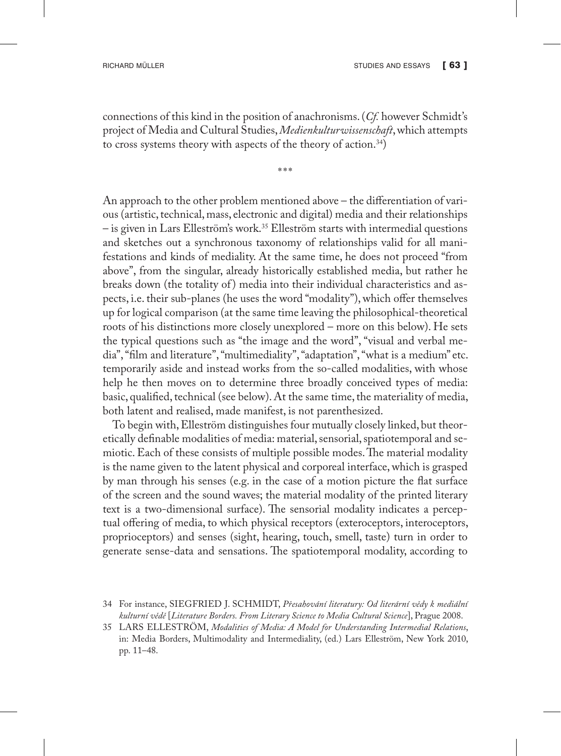connections of this kind in the position of anachronisms. (*Cf.* however Schmidt's project of Media and Cultural Studies, *Medienkulturwissenschaft*, which attempts to cross systems theory with aspects of the theory of action.34)

\*\*\*

An approach to the other problem mentioned above – the differentiation of various (artistic, technical, mass, electronic and digital) media and their relationships – is given in Lars Elleström's work.35 Elleström starts with intermedial questions and sketches out a synchronous taxonomy of relationships valid for all manifestations and kinds of mediality. At the same time, he does not proceed "from above", from the singular, already historically established media, but rather he breaks down (the totality of) media into their individual characteristics and aspects, i.e. their sub-planes (he uses the word "modality"), which offer themselves up for logical comparison (at the same time leaving the philosophical-theoretical roots of his distinctions more closely unexplored – more on this below). He sets the typical questions such as "the image and the word", "visual and verbal media", "film and literature", "multimediality", "adaptation", "what is a medium" etc. temporarily aside and instead works from the so-called modalities, with whose help he then moves on to determine three broadly conceived types of media: basic, qualified, technical (see below). At the same time, the materiality of media, both latent and realised, made manifest, is not parenthesized.

To begin with, Elleström distinguishes four mutually closely linked, but theoretically definable modalities of media: material, sensorial, spatiotemporal and semiotic. Each of these consists of multiple possible modes. The material modality is the name given to the latent physical and corporeal interface, which is grasped by man through his senses (e.g. in the case of a motion picture the flat surface of the screen and the sound waves; the material modality of the printed literary text is a two-dimensional surface). The sensorial modality indicates a perceptual offering of media, to which physical receptors (exteroceptors, interoceptors, proprioceptors) and senses (sight, hearing, touch, smell, taste) turn in order to generate sense-data and sensations. The spatiotemporal modality, according to

<sup>34</sup> For instance, SIEGFRIED J. SCHMIDT, *Přesahování literatury: Od literární vědy k mediální kulturní vědě* [*Literature Borders. From Literary Science to Media Cultural Science*], Prague 2008.

<sup>35</sup> LARS ELLESTRÖM, *Modalities of Media: A Model for Understanding Intermedial Relations*, in: Media Borders, Multimodality and Intermediality, (ed.) Lars Elleström, New York 2010, pp. 11–48.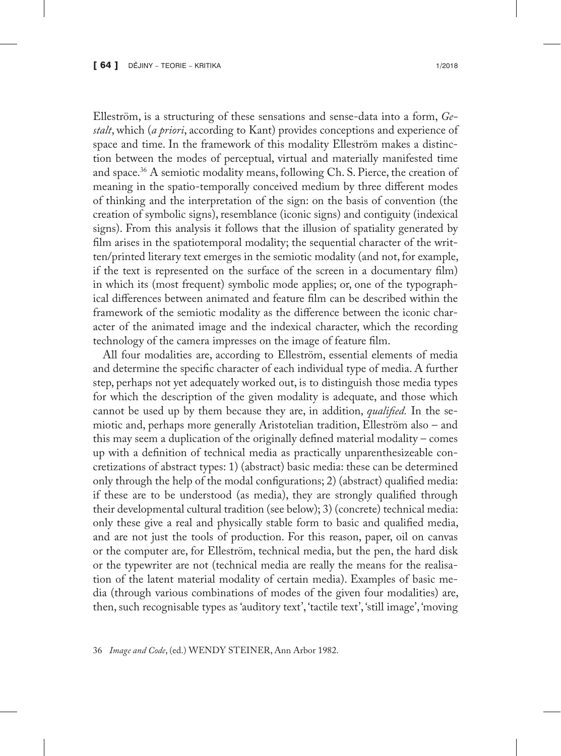Elleström, is a structuring of these sensations and sense-data into a form, *Gestalt*, which (*a priori*, according to Kant) provides conceptions and experience of space and time. In the framework of this modality Elleström makes a distinction between the modes of perceptual, virtual and materially manifested time and space.36 A semiotic modality means, following Ch. S. Pierce, the creation of meaning in the spatio-temporally conceived medium by three different modes of thinking and the interpretation of the sign: on the basis of convention (the creation of symbolic signs), resemblance (iconic signs) and contiguity (indexical signs). From this analysis it follows that the illusion of spatiality generated by film arises in the spatiotemporal modality; the sequential character of the written/printed literary text emerges in the semiotic modality (and not, for example, if the text is represented on the surface of the screen in a documentary film) in which its (most frequent) symbolic mode applies; or, one of the typographical differences between animated and feature film can be described within the framework of the semiotic modality as the difference between the iconic character of the animated image and the indexical character, which the recording technology of the camera impresses on the image of feature film.

All four modalities are, according to Elleström, essential elements of media and determine the specific character of each individual type of media. A further step, perhaps not yet adequately worked out, is to distinguish those media types for which the description of the given modality is adequate, and those which cannot be used up by them because they are, in addition, *qualified.* In the semiotic and, perhaps more generally Aristotelian tradition, Elleström also – and this may seem a duplication of the originally defined material modality – comes up with a definition of technical media as practically unparenthesizeable concretizations of abstract types: 1) (abstract) basic media: these can be determined only through the help of the modal configurations; 2) (abstract) qualified media: if these are to be understood (as media), they are strongly qualified through their developmental cultural tradition (see below); 3) (concrete) technical media: only these give a real and physically stable form to basic and qualified media, and are not just the tools of production. For this reason, paper, oil on canvas or the computer are, for Elleström, technical media, but the pen, the hard disk or the typewriter are not (technical media are really the means for the realisation of the latent material modality of certain media). Examples of basic media (through various combinations of modes of the given four modalities) are, then, such recognisable types as 'auditory text', 'tactile text', 'still image', 'moving

36 *Image and Code*, (ed.) WENDY STEINER, Ann Arbor 1982.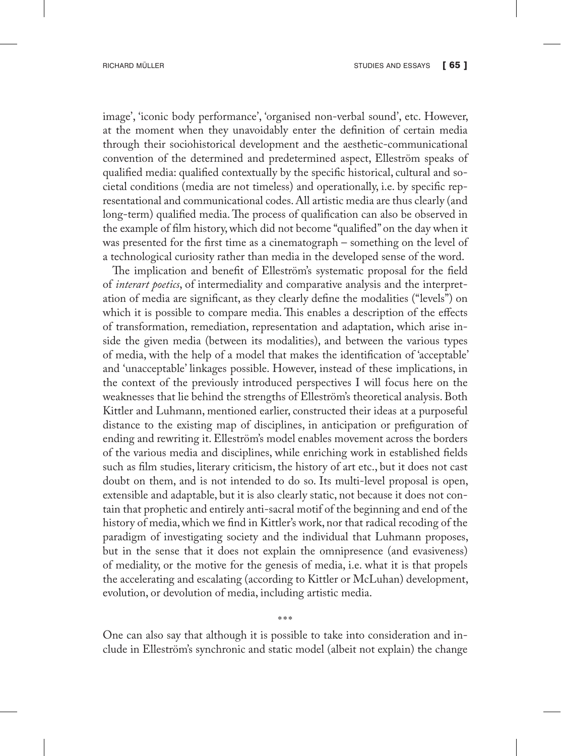image', 'iconic body performance', 'organised non-verbal sound', etc. However, at the moment when they unavoidably enter the definition of certain media through their sociohistorical development and the aesthetic-communicational convention of the determined and predetermined aspect, Elleström speaks of qualified media: qualified contextually by the specific historical, cultural and societal conditions (media are not timeless) and operationally, i.e. by specific representational and communicational codes. All artistic media are thus clearly (and long-term) qualified media. The process of qualification can also be observed in the example of film history, which did not become "qualified" on the day when it was presented for the first time as a cinematograph – something on the level of a technological curiosity rather than media in the developed sense of the word.

The implication and benefit of Elleström's systematic proposal for the field of *interart poetics*, of intermediality and comparative analysis and the interpretation of media are significant, as they clearly define the modalities ("levels") on which it is possible to compare media. This enables a description of the effects of transformation, remediation, representation and adaptation, which arise inside the given media (between its modalities), and between the various types of media, with the help of a model that makes the identification of 'acceptable' and 'unacceptable' linkages possible. However, instead of these implications, in the context of the previously introduced perspectives I will focus here on the weaknesses that lie behind the strengths of Elleström's theoretical analysis. Both Kittler and Luhmann, mentioned earlier, constructed their ideas at a purposeful distance to the existing map of disciplines, in anticipation or prefiguration of ending and rewriting it. Elleström's model enables movement across the borders of the various media and disciplines, while enriching work in established fields such as film studies, literary criticism, the history of art etc., but it does not cast doubt on them, and is not intended to do so. Its multi-level proposal is open, extensible and adaptable, but it is also clearly static, not because it does not contain that prophetic and entirely anti-sacral motif of the beginning and end of the history of media, which we find in Kittler's work, nor that radical recoding of the paradigm of investigating society and the individual that Luhmann proposes, but in the sense that it does not explain the omnipresence (and evasiveness) of mediality, or the motive for the genesis of media, i.e. what it is that propels the accelerating and escalating (according to Kittler or McLuhan) development, evolution, or devolution of media, including artistic media.

\*\*\* One can also say that although it is possible to take into consideration and include in Elleström's synchronic and static model (albeit not explain) the change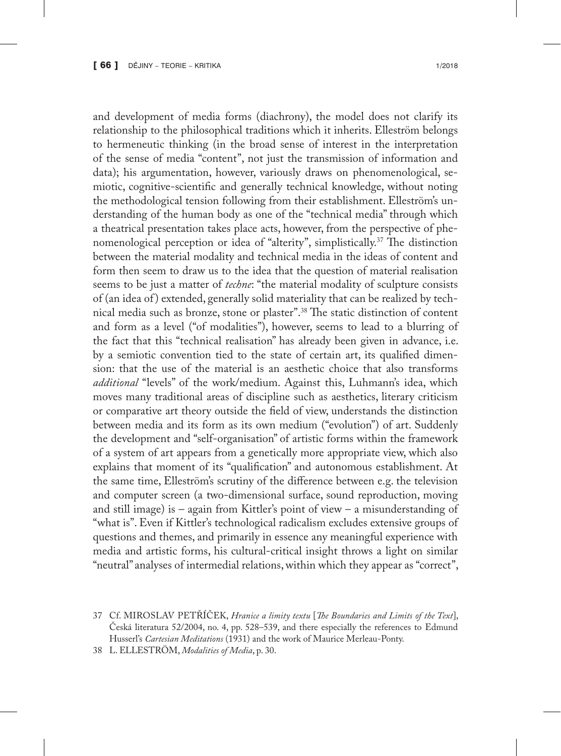and development of media forms (diachrony), the model does not clarify its relationship to the philosophical traditions which it inherits. Elleström belongs to hermeneutic thinking (in the broad sense of interest in the interpretation of the sense of media "content", not just the transmission of information and data); his argumentation, however, variously draws on phenomenological, semiotic, cognitive-scientific and generally technical knowledge, without noting the methodological tension following from their establishment. Elleström's understanding of the human body as one of the "technical media" through which a theatrical presentation takes place acts, however, from the perspective of phenomenological perception or idea of "alterity", simplistically.37 The distinction between the material modality and technical media in the ideas of content and form then seem to draw us to the idea that the question of material realisation seems to be just a matter of *techne*: "the material modality of sculpture consists of (an idea of ) extended, generally solid materiality that can be realized by technical media such as bronze, stone or plaster".38 The static distinction of content and form as a level ("of modalities"), however, seems to lead to a blurring of the fact that this "technical realisation" has already been given in advance, i.e. by a semiotic convention tied to the state of certain art, its qualified dimension: that the use of the material is an aesthetic choice that also transforms *additional* "levels" of the work/medium. Against this, Luhmann's idea, which moves many traditional areas of discipline such as aesthetics, literary criticism or comparative art theory outside the field of view, understands the distinction between media and its form as its own medium ("evolution") of art. Suddenly the development and "self-organisation" of artistic forms within the framework of a system of art appears from a genetically more appropriate view, which also explains that moment of its "qualification" and autonomous establishment. At the same time, Elleström's scrutiny of the difference between e.g. the television and computer screen (a two-dimensional surface, sound reproduction, moving and still image) is – again from Kittler's point of view – a misunderstanding of "what is". Even if Kittler's technological radicalism excludes extensive groups of questions and themes, and primarily in essence any meaningful experience with media and artistic forms, his cultural-critical insight throws a light on similar "neutral" analyses of intermedial relations, within which they appear as "correct",

<sup>37</sup> Cf. MIROSLAV PETŘÍČEK, *Hranice a limity textu* [*The Boundaries and Limits of the Text*], Česká literatura 52/2004, no. 4, pp. 528–539, and there especially the references to Edmund Husserl's *Cartesian Meditations* (1931) and the work of Maurice Merleau-Ponty.

<sup>38</sup> L. ELLESTRÖM, *Modalities of Media*, p. 30.